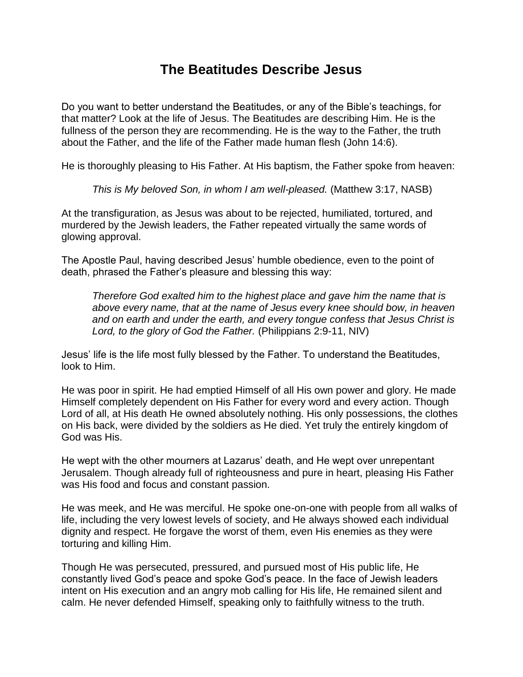## **The Beatitudes Describe Jesus**

Do you want to better understand the Beatitudes, or any of the Bible's teachings, for that matter? Look at the life of Jesus. The Beatitudes are describing Him. He is the fullness of the person they are recommending. He is the way to the Father, the truth about the Father, and the life of the Father made human flesh (John 14:6).

He is thoroughly pleasing to His Father. At His baptism, the Father spoke from heaven:

*This is My beloved Son, in whom I am well-pleased.* (Matthew 3:17, NASB)

At the transfiguration, as Jesus was about to be rejected, humiliated, tortured, and murdered by the Jewish leaders, the Father repeated virtually the same words of glowing approval.

The Apostle Paul, having described Jesus' humble obedience, even to the point of death, phrased the Father's pleasure and blessing this way:

*Therefore God exalted him to the highest place and gave him the name that is above every name, that at the name of Jesus every knee should bow, in heaven and on earth and under the earth, and every tongue confess that Jesus Christ is Lord, to the glory of God the Father.* (Philippians 2:9-11, NIV)

Jesus' life is the life most fully blessed by the Father. To understand the Beatitudes, look to Him.

He was poor in spirit. He had emptied Himself of all His own power and glory. He made Himself completely dependent on His Father for every word and every action. Though Lord of all, at His death He owned absolutely nothing. His only possessions, the clothes on His back, were divided by the soldiers as He died. Yet truly the entirely kingdom of God was His.

He wept with the other mourners at Lazarus' death, and He wept over unrepentant Jerusalem. Though already full of righteousness and pure in heart, pleasing His Father was His food and focus and constant passion.

He was meek, and He was merciful. He spoke one-on-one with people from all walks of life, including the very lowest levels of society, and He always showed each individual dignity and respect. He forgave the worst of them, even His enemies as they were torturing and killing Him.

Though He was persecuted, pressured, and pursued most of His public life, He constantly lived God's peace and spoke God's peace. In the face of Jewish leaders intent on His execution and an angry mob calling for His life, He remained silent and calm. He never defended Himself, speaking only to faithfully witness to the truth.